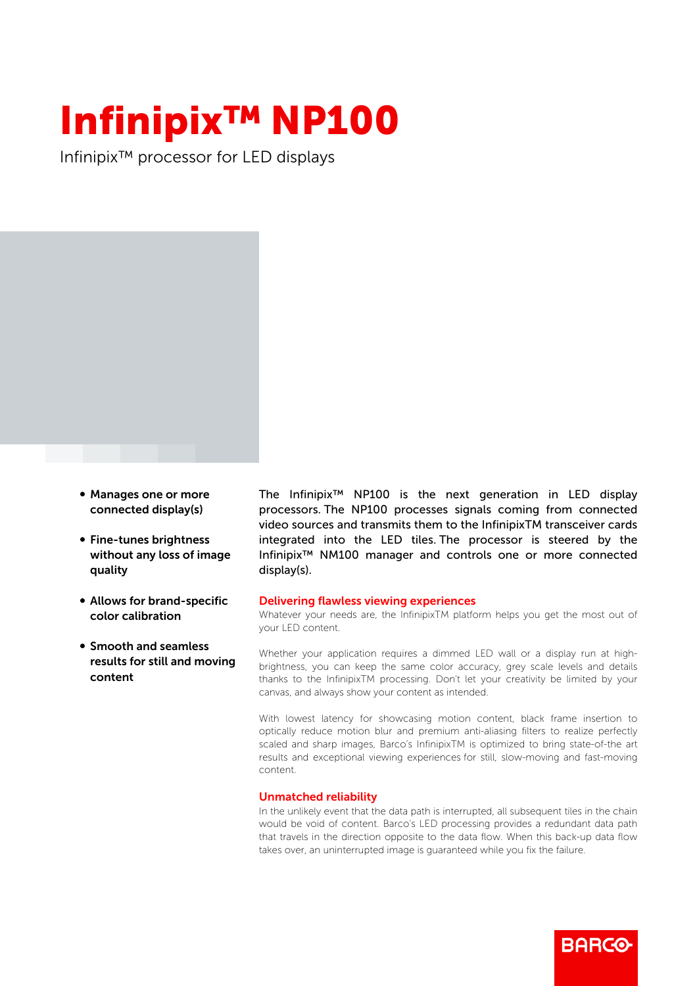## Infinipix™ NP100

Infinipix™ processor for LED displays

- Manages one or more connected display(s)
- Fine-tunes brightness without any loss of image quality
- Allows for brand-specific color calibration
- **Smooth and seamless** results for still and moving content

The Infinipix™ NP100 is the next generation in LED display processors. The NP100 processes signals coming from connected video sources and transmits them to the InfinipixTM transceiver cards integrated into the LED tiles. The processor is steered by the Infinipix™ NM100 manager and controls one or more connected display(s).

## Delivering flawless viewing experiences

Whatever your needs are, the InfinipixTM platform helps you get the most out of your LED content.

Whether your application requires a dimmed LED wall or a display run at highbrightness, you can keep the same color accuracy, grey scale levels and details thanks to the InfinipixTM processing. Don't let your creativity be limited by your canvas, and always show your content as intended.

With lowest latency for showcasing motion content, black frame insertion to optically reduce motion blur and premium anti-aliasing filters to realize perfectly scaled and sharp images, Barco's InfinipixTM is optimized to bring state-of-the art results and exceptional viewing experiences for still, slow-moving and fast-moving content.

## Unmatched reliability

In the unlikely event that the data path is interrupted, all subsequent tiles in the chain would be void of content. Barco's LED processing provides a redundant data path that travels in the direction opposite to the data flow. When this back-up data flow takes over, an uninterrupted image is guaranteed while you fix the failure.